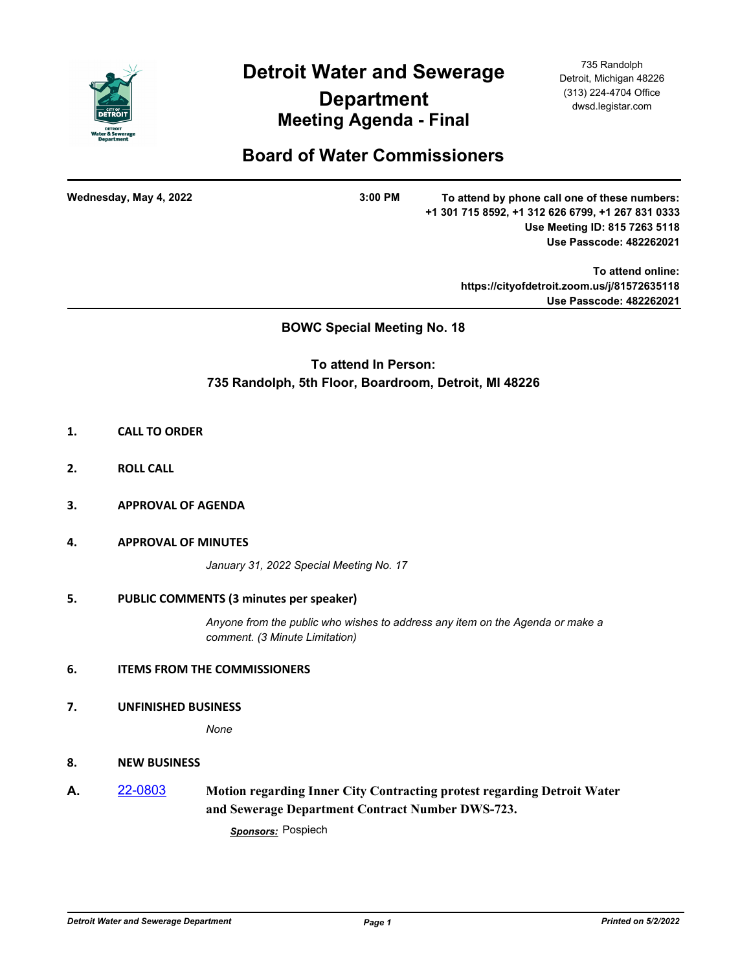

**Detroit Water and Sewerage** 

# **Department Meeting Agenda - Final**

735 Randolph Detroit, Michigan 48226 (313) 224-4704 Office dwsd.legistar.com

## **Board of Water Commissioners**

**Wednesday, May 4, 2022 3:00 PM**

**To attend by phone call one of these numbers: +1 301 715 8592, +1 312 626 6799, +1 267 831 0333 Use Meeting ID: 815 7263 5118 Use Passcode: 482262021** 

> **To attend online: https://cityofdetroit.zoom.us/j/81572635118 Use Passcode: 482262021**

## **BOWC Special Meeting No. 18**

## **To attend In Person: 735 Randolph, 5th Floor, Boardroom, Detroit, MI 48226**

- **1. CALL TO ORDER**
- **2. ROLL CALL**
- **3. APPROVAL OF AGENDA**
- **4. APPROVAL OF MINUTES**

*January 31, 2022 Special Meeting No. 17*

#### **5. PUBLIC COMMENTS (3 minutes per speaker)**

*Anyone from the public who wishes to address any item on the Agenda or make a comment. (3 Minute Limitation)*

### **6. ITEMS FROM THE COMMISSIONERS**

#### **7. UNFINISHED BUSINESS**

*None*

#### **8. NEW BUSINESS**

**A.** [22-0803](http://dwsd.legistar.com/gateway.aspx?m=l&id=/matter.aspx?key=5366) **Motion regarding Inner City Contracting protest regarding Detroit Water and Sewerage Department Contract Number DWS-723.** 

*Sponsors:* Pospiech